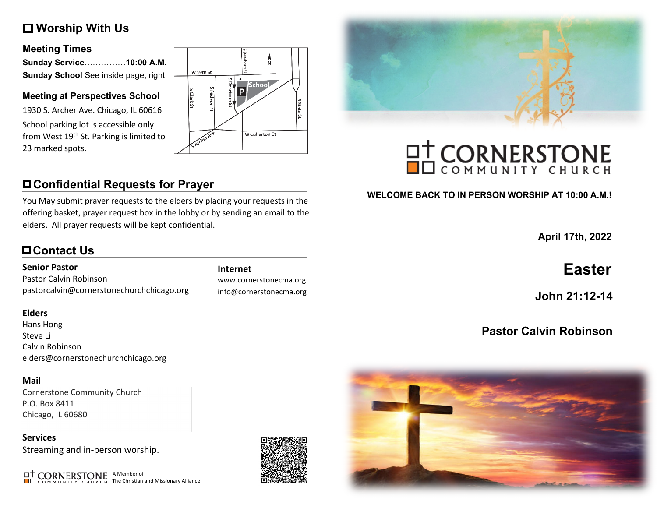# **Worship With Us**

#### **Meeting Times**

| Sunday Service10:00 A.M.             |  |
|--------------------------------------|--|
| Sunday School See inside page, right |  |

#### **Meeting at Perspectives School**

1930 S. Archer Ave. Chicago, IL 60616 School parking lot is accessible only from West 19<sup>th</sup> St. Parking is limited to 23 marked spots.



# **Confidential Requests for Prayer**

You May submit prayer requests to the elders by placing your requests in the offering basket, prayer request box in the lobby or by sending an email to the elders. All prayer requests will be kept confidential.

# **Contact Us**

#### **Senior Pastor**

Pastor Calvin Robinson pastorcalvin@cornerstonechurchchicago.org

#### **Elders**

Hans Hong Steve Li Calvin Robinson elders@cornerstonechurchchicago.org

#### **Mail**

Cornerstone Community Church P.O. Box 8411 Chicago, IL 60680

**Services** Streaming and in-person worship.

A Member of The Christian and Missionary Alliance



info@cornerstonecma.org





# **OT CORNERSTONE**

#### **WELCOME BACK TO IN PERSON WORSHIP AT 10:00 A.M.!**

**April 17th, 2022**

# **Internet Easter**

**John 21:12-14**

# **Pastor Calvin Robinson**